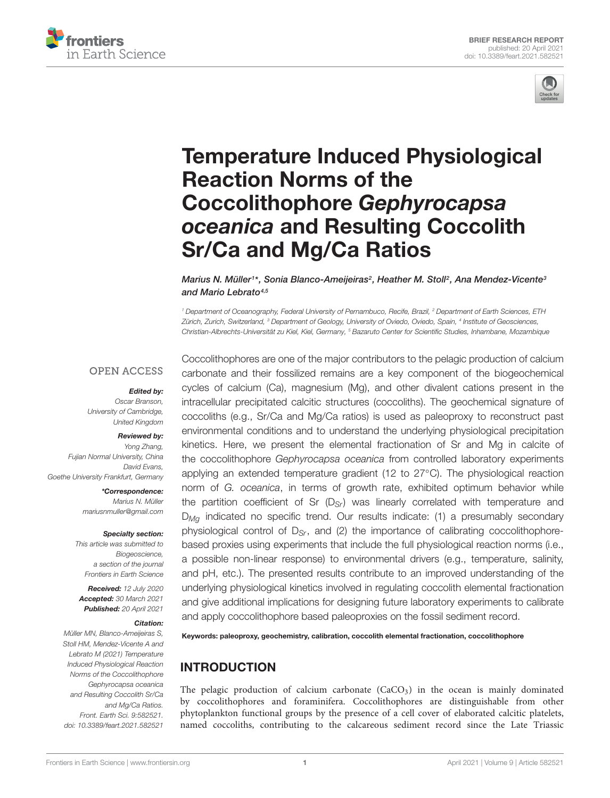



# [Temperature Induced Physiological](https://www.frontiersin.org/articles/10.3389/feart.2021.582521/full) Reaction Norms of the Coccolithophore Gephyrocapsa oceanica and Resulting Coccolith Sr/Ca and Mg/Ca Ratios

Marius N. Müller1\*, Sonia Blanco-Ameijeiras², Heather M. Stoll², Ana Mendez-Vicente<sup>s</sup> and Mario Lebrato<sup>4,5</sup>

<sup>1</sup> Department of Oceanography, Federal University of Pernambuco, Recife, Brazil, <sup>2</sup> Department of Earth Sciences, ETH Zürich, Zurich, Switzerland, <sup>3</sup> Department of Geology, University of Oviedo, Oviedo, Spain, <sup>4</sup> Institute of Geosciences, Christian-Albrechts-Universität zu Kiel, Kiel, Germany, <sup>5</sup> Bazaruto Center for Scientific Studies, Inhambane, Mozambique

## **OPEN ACCESS**

#### Edited by:

Oscar Branson, University of Cambridge, United Kingdom

#### Reviewed by:

Yong Zhang, Fujian Normal University, China David Evans, Goethe University Frankfurt, Germany

> \*Correspondence: Marius N. Müller mariusnmuller@gmail.com

#### Specialty section:

This article was submitted to Biogeoscience, a section of the journal Frontiers in Earth Science

Received: 12 July 2020 Accepted: 30 March 2021 Published: 20 April 2021

### Citation:

Müller MN, Blanco-Ameijeiras S, Stoll HM, Mendez-Vicente A and Lebrato M (2021) Temperature Induced Physiological Reaction Norms of the Coccolithophore Gephyrocapsa oceanica and Resulting Coccolith Sr/Ca and Mg/Ca Ratios. Front. Earth Sci. 9:582521. doi: [10.3389/feart.2021.582521](https://doi.org/10.3389/feart.2021.582521)

Coccolithophores are one of the major contributors to the pelagic production of calcium carbonate and their fossilized remains are a key component of the biogeochemical cycles of calcium (Ca), magnesium (Mg), and other divalent cations present in the intracellular precipitated calcitic structures (coccoliths). The geochemical signature of coccoliths (e.g., Sr/Ca and Mg/Ca ratios) is used as paleoproxy to reconstruct past environmental conditions and to understand the underlying physiological precipitation kinetics. Here, we present the elemental fractionation of Sr and Mg in calcite of the coccolithophore Gephyrocapsa oceanica from controlled laboratory experiments applying an extended temperature gradient (12 to 27◦C). The physiological reaction norm of G. oceanica, in terms of growth rate, exhibited optimum behavior while the partition coefficient of Sr  $(D_{Sr})$  was linearly correlated with temperature and  $D_{Ma}$  indicated no specific trend. Our results indicate: (1) a presumably secondary physiological control of  $D_{SF}$ , and (2) the importance of calibrating coccolithophorebased proxies using experiments that include the full physiological reaction norms (i.e., a possible non-linear response) to environmental drivers (e.g., temperature, salinity, and pH, etc.). The presented results contribute to an improved understanding of the underlying physiological kinetics involved in regulating coccolith elemental fractionation and give additional implications for designing future laboratory experiments to calibrate and apply coccolithophore based paleoproxies on the fossil sediment record.

Keywords: paleoproxy, geochemistry, calibration, coccolith elemental fractionation, coccolithophore

## INTRODUCTION

The pelagic production of calcium carbonate  $(CaCO<sub>3</sub>)$  in the ocean is mainly dominated by coccolithophores and foraminifera. Coccolithophores are distinguishable from other phytoplankton functional groups by the presence of a cell cover of elaborated calcitic platelets, named coccoliths, contributing to the calcareous sediment record since the Late Triassic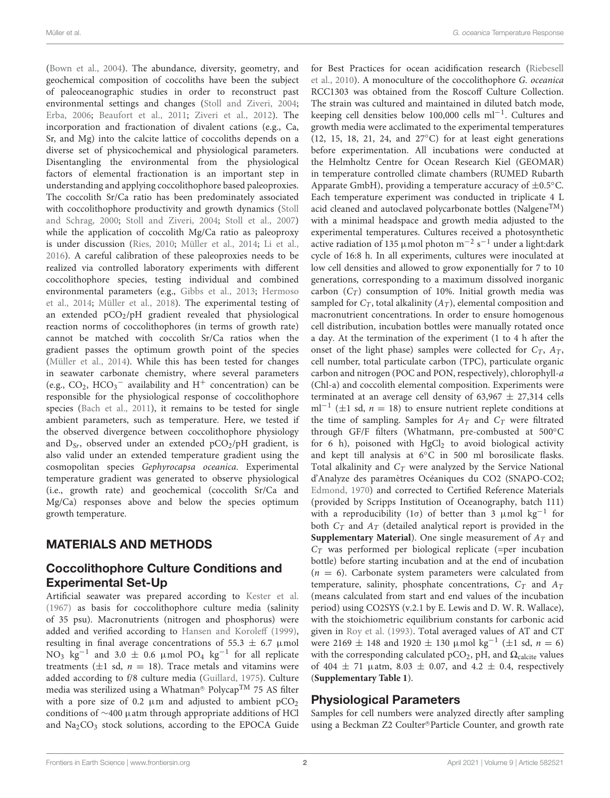[\(Bown et al., 2004\)](#page-7-0). The abundance, diversity, geometry, and geochemical composition of coccoliths have been the subject of paleoceanographic studies in order to reconstruct past environmental settings and changes [\(Stoll and Ziveri, 2004;](#page-7-1) [Erba, 2006;](#page-7-2) [Beaufort et al., 2011;](#page-6-0) [Ziveri et al., 2012\)](#page-8-0). The incorporation and fractionation of divalent cations (e.g., Ca, Sr, and Mg) into the calcite lattice of coccoliths depends on a diverse set of physicochemical and physiological parameters. Disentangling the environmental from the physiological factors of elemental fractionation is an important step in understanding and applying coccolithophore based paleoproxies. The coccolith Sr/Ca ratio has been predominately associated with coccolithophore productivity and growth dynamics [\(Stoll](#page-7-3) [and Schrag, 2000;](#page-7-3) [Stoll and Ziveri, 2004;](#page-7-1) [Stoll et al., 2007\)](#page-7-4) while the application of coccolith Mg/Ca ratio as paleoproxy is under discussion [\(Ries, 2010;](#page-7-5) [Müller et al., 2014;](#page-7-6) [Li et al.,](#page-7-7) [2016\)](#page-7-7). A careful calibration of these paleoproxies needs to be realized via controlled laboratory experiments with different coccolithophore species, testing individual and combined environmental parameters (e.g., [Gibbs et al., 2013;](#page-7-8) [Hermoso](#page-7-9) [et al., 2014;](#page-7-9) [Müller et al., 2018\)](#page-7-10). The experimental testing of an extended  $pCO_2/pH$  gradient revealed that physiological reaction norms of coccolithophores (in terms of growth rate) cannot be matched with coccolith Sr/Ca ratios when the gradient passes the optimum growth point of the species [\(Müller et al., 2014\)](#page-7-6). While this has been tested for changes in seawater carbonate chemistry, where several parameters (e.g.,  $CO_2$ ,  $HCO_3^-$  availability and  $H^+$  concentration) can be responsible for the physiological response of coccolithophore species [\(Bach et al., 2011\)](#page-6-1), it remains to be tested for single ambient parameters, such as temperature. Here, we tested if the observed divergence between coccolithophore physiology and  $D_{Sr}$ , observed under an extended  $pCO_2/pH$  gradient, is also valid under an extended temperature gradient using the cosmopolitan species Gephyrocapsa oceanica. Experimental temperature gradient was generated to observe physiological (i.e., growth rate) and geochemical (coccolith Sr/Ca and Mg/Ca) responses above and below the species optimum growth temperature.

# MATERIALS AND METHODS

# Coccolithophore Culture Conditions and Experimental Set-Up

Artificial seawater was prepared according to [Kester et al.](#page-7-11) [\(1967\)](#page-7-11) as basis for coccolithophore culture media (salinity of 35 psu). Macronutrients (nitrogen and phosphorus) were added and verified according to [Hansen and Koroleff \(1999\)](#page-7-12), resulting in final average concentrations of 55.3  $\pm$  6.7 µmol NO<sub>3</sub> kg<sup>-1</sup> and 3.0  $\pm$  0.6 µmol PO<sub>4</sub> kg<sup>-1</sup> for all replicate treatments ( $\pm 1$  sd,  $n = 18$ ). Trace metals and vitamins were added according to f/8 culture media [\(Guillard, 1975\)](#page-7-13). Culture media was sterilized using a Whatman® Polycap<sup>TM</sup> 75 AS filter with a pore size of 0.2  $\mu$ m and adjusted to ambient pCO<sub>2</sub> conditions of ∼400 µatm through appropriate additions of HCl and  $Na<sub>2</sub>CO<sub>3</sub>$  stock solutions, according to the EPOCA Guide

for Best Practices for ocean acidification research [\(Riebesell](#page-7-14) [et al., 2010\)](#page-7-14). A monoculture of the coccolithophore G. oceanica RCC1303 was obtained from the Roscoff Culture Collection. The strain was cultured and maintained in diluted batch mode, keeping cell densities below 100,000 cells ml−<sup>1</sup> . Cultures and growth media were acclimated to the experimental temperatures (12, 15, 18, 21, 24, and 27◦C) for at least eight generations before experimentation. All incubations were conducted at the Helmholtz Centre for Ocean Research Kiel (GEOMAR) in temperature controlled climate chambers (RUMED Rubarth Apparate GmbH), providing a temperature accuracy of  $\pm 0.5$ °C. Each temperature experiment was conducted in triplicate 4 L acid cleaned and autoclaved polycarbonate bottles (Nalgene<sup>TM</sup>) with a minimal headspace and growth media adjusted to the experimental temperatures. Cultures received a photosynthetic active radiation of 135 µmol photon  $m^{-2}$  s<sup>-1</sup> under a light:dark cycle of 16:8 h. In all experiments, cultures were inoculated at low cell densities and allowed to grow exponentially for 7 to 10 generations, corresponding to a maximum dissolved inorganic carbon  $(C_T)$  consumption of 10%. Initial growth media was sampled for  $C_T$ , total alkalinity  $(A_T)$ , elemental composition and macronutrient concentrations. In order to ensure homogenous cell distribution, incubation bottles were manually rotated once a day. At the termination of the experiment (1 to 4 h after the onset of the light phase) samples were collected for  $C_T$ ,  $A_T$ , cell number, total particulate carbon (TPC), particulate organic carbon and nitrogen (POC and PON, respectively), chlorophyll-a (Chl-a) and coccolith elemental composition. Experiments were terminated at an average cell density of  $63,967 \pm 27,314$  cells ml<sup>-1</sup> ( $\pm$ 1 sd, *n* = 18) to ensure nutrient replete conditions at the time of sampling. Samples for  $A_T$  and  $C_T$  were filtrated through GF/F filters (Whatmann, pre-combusted at 500◦C for 6 h), poisoned with  $HgCl<sub>2</sub>$  to avoid biological activity and kept till analysis at 6◦C in 500 ml borosilicate flasks. Total alkalinity and  $C_T$  were analyzed by the Service National d'Analyze des paramètres Océaniques du CO2 (SNAPO-CO2; [Edmond, 1970\)](#page-7-15) and corrected to Certified Reference Materials (provided by Scripps Institution of Oceanography, batch 111) with a reproducibility (1σ) of better than 3 μmol kg<sup>-1</sup> for both  $C_T$  and  $A_T$  (detailed analytical report is provided in the **[Supplementary Material](#page-6-2)**). One single measurement of  $A_T$  and  $C_T$  was performed per biological replicate (=per incubation bottle) before starting incubation and at the end of incubation  $(n = 6)$ . Carbonate system parameters were calculated from temperature, salinity, phosphate concentrations,  $C_T$  and  $A_T$ (means calculated from start and end values of the incubation period) using CO2SYS (v.2.1 by E. Lewis and D. W. R. Wallace), with the stoichiometric equilibrium constants for carbonic acid given in [Roy et al. \(1993\)](#page-7-16). Total averaged values of AT and CT were 2169  $\pm$  148 and 1920  $\pm$  130 µmol kg<sup>-1</sup> ( $\pm$ 1 sd, *n* = 6) with the corresponding calculated pCO<sub>2</sub>, pH, and  $\Omega_{\text{calcite}}$  values of 404  $\pm$  71 µatm, 8.03  $\pm$  0.07, and 4.2  $\pm$  0.4, respectively (**[Supplementary Table 1](#page-6-2)**).

## Physiological Parameters

Samples for cell numbers were analyzed directly after sampling using a Beckman Z2 Coulter®Particle Counter, and growth rate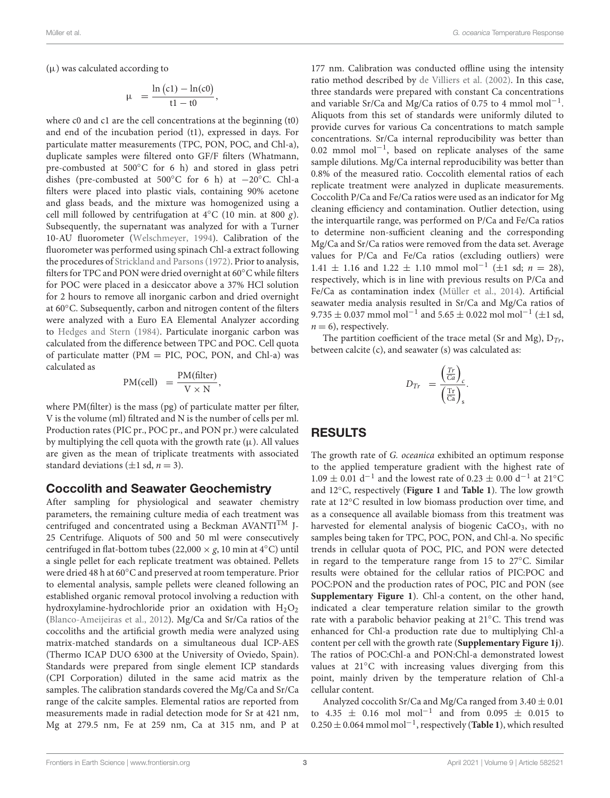$(\mu)$  was calculated according to

$$
\mu = \frac{\ln\left(c1\right) - \ln(c0)}{t1 - t0}
$$

,

where c0 and c1 are the cell concentrations at the beginning (t0) and end of the incubation period (t1), expressed in days. For particulate matter measurements (TPC, PON, POC, and Chl-a), duplicate samples were filtered onto GF/F filters (Whatmann, pre-combusted at 500◦C for 6 h) and stored in glass petri dishes (pre-combusted at 500◦C for 6 h) at −20◦C. Chl-a filters were placed into plastic vials, containing 90% acetone and glass beads, and the mixture was homogenized using a cell mill followed by centrifugation at  $4°C$  (10 min. at 800 g). Subsequently, the supernatant was analyzed for with a Turner 10-AU fluorometer [\(Welschmeyer, 1994\)](#page-8-1). Calibration of the fluorometer was performed using spinach Chl-a extract following the procedures of [Strickland and Parsons \(1972\)](#page-7-17). Prior to analysis, filters for TPC and PON were dried overnight at 60◦C while filters for POC were placed in a desiccator above a 37% HCl solution for 2 hours to remove all inorganic carbon and dried overnight at 60◦C. Subsequently, carbon and nitrogen content of the filters were analyzed with a Euro EA Elemental Analyzer according to [Hedges and Stern \(1984\)](#page-7-18). Particulate inorganic carbon was calculated from the difference between TPC and POC. Cell quota of particulate matter ( $PM = PIC$ ,  $POC$ ,  $PON$ , and  $Chl-a$ ) was calculated as

$$
PM(cell) = \frac{PM(filter)}{V \times N},
$$

where PM(filter) is the mass (pg) of particulate matter per filter, V is the volume (ml) filtrated and N is the number of cells per ml. Production rates (PIC pr., POC pr., and PON pr.) were calculated by multiplying the cell quota with the growth rate  $(\mu)$ . All values are given as the mean of triplicate treatments with associated standard deviations ( $\pm 1$  sd,  $n = 3$ ).

## Coccolith and Seawater Geochemistry

After sampling for physiological and seawater chemistry parameters, the remaining culture media of each treatment was centrifuged and concentrated using a Beckman AVANTI<sup>TM</sup> J-25 Centrifuge. Aliquots of 500 and 50 ml were consecutively centrifuged in flat-bottom tubes (22,000 × g, 10 min at 4°C) until a single pellet for each replicate treatment was obtained. Pellets were dried 48 h at 60◦C and preserved at room temperature. Prior to elemental analysis, sample pellets were cleaned following an established organic removal protocol involving a reduction with hydroxylamine-hydrochloride prior an oxidation with H<sub>2</sub>O<sub>2</sub> [\(Blanco-Ameijeiras et al., 2012\)](#page-6-3). Mg/Ca and Sr/Ca ratios of the coccoliths and the artificial growth media were analyzed using matrix-matched standards on a simultaneous dual ICP-AES (Thermo ICAP DUO 6300 at the University of Oviedo, Spain). Standards were prepared from single element ICP standards (CPI Corporation) diluted in the same acid matrix as the samples. The calibration standards covered the Mg/Ca and Sr/Ca range of the calcite samples. Elemental ratios are reported from measurements made in radial detection mode for Sr at 421 nm, Mg at 279.5 nm, Fe at 259 nm, Ca at 315 nm, and P at

177 nm. Calibration was conducted offline using the intensity ratio method described by [de Villiers et al. \(2002\)](#page-7-19). In this case, three standards were prepared with constant Ca concentrations and variable Sr/Ca and Mg/Ca ratios of 0.75 to 4 mmol mol<sup>-1</sup>. Aliquots from this set of standards were uniformly diluted to provide curves for various Ca concentrations to match sample concentrations. Sr/Ca internal reproducibility was better than 0.02 mmol mol−<sup>1</sup> , based on replicate analyses of the same sample dilutions. Mg/Ca internal reproducibility was better than 0.8% of the measured ratio. Coccolith elemental ratios of each replicate treatment were analyzed in duplicate measurements. Coccolith P/Ca and Fe/Ca ratios were used as an indicator for Mg cleaning efficiency and contamination. Outlier detection, using the interquartile range, was performed on P/Ca and Fe/Ca ratios to determine non-sufficient cleaning and the corresponding Mg/Ca and Sr/Ca ratios were removed from the data set. Average values for P/Ca and Fe/Ca ratios (excluding outliers) were  $1.41 \pm 1.16$  and  $1.22 \pm 1.10$  mmol mol<sup>-1</sup> ( $\pm 1$  sd;  $n = 28$ ), respectively, which is in line with previous results on P/Ca and Fe/Ca as contamination index [\(Müller et al., 2014\)](#page-7-6). Artificial seawater media analysis resulted in Sr/Ca and Mg/Ca ratios of 9.735  $\pm$  0.037 mmol mol<sup>-1</sup> and 5.65  $\pm$  0.022 mol mol<sup>-1</sup> ( $\pm$ 1 sd,  $n = 6$ , respectively.

The partition coefficient of the trace metal (Sr and Mg),  $D_{Tr}$ , between calcite (c), and seawater (s) was calculated as:

$$
D_{Tr} = \frac{\left(\frac{Tr}{Ca}\right)_c}{\left(\frac{Tr}{Ca}\right)_s}.
$$

## RESULTS

The growth rate of G. oceanica exhibited an optimum response to the applied temperature gradient with the highest rate of 1.09 ± 0.01 d<sup>-1</sup> and the lowest rate of 0.23 ± 0.00 d<sup>-1</sup> at 21<sup>°</sup>C and 12◦C, respectively (**[Figure 1](#page-3-0)** and **[Table 1](#page-3-1)**). The low growth rate at 12◦C resulted in low biomass production over time, and as a consequence all available biomass from this treatment was harvested for elemental analysis of biogenic  $CaCO<sub>3</sub>$ , with no samples being taken for TPC, POC, PON, and Chl-a. No specific trends in cellular quota of POC, PIC, and PON were detected in regard to the temperature range from 15 to 27◦C. Similar results were obtained for the cellular ratios of PIC:POC and POC:PON and the production rates of POC, PIC and PON (see **[Supplementary Figure 1](#page-6-2)**). Chl-a content, on the other hand, indicated a clear temperature relation similar to the growth rate with a parabolic behavior peaking at 21◦C. This trend was enhanced for Chl-a production rate due to multiplying Chl-a content per cell with the growth rate (**[Supplementary Figure 1j](#page-6-2)**). The ratios of POC:Chl-a and PON:Chl-a demonstrated lowest values at 21<sup>°</sup>C with increasing values diverging from this point, mainly driven by the temperature relation of Chl-a cellular content.

Analyzed coccolith Sr/Ca and Mg/Ca ranged from  $3.40 \pm 0.01$ to  $4.35 \pm 0.16$  mol mol<sup>-1</sup> and from 0.095  $\pm$  0.015 to 0.250 ± 0.064 mmol mol−<sup>1</sup> , respectively (**[Table 1](#page-3-1)**), which resulted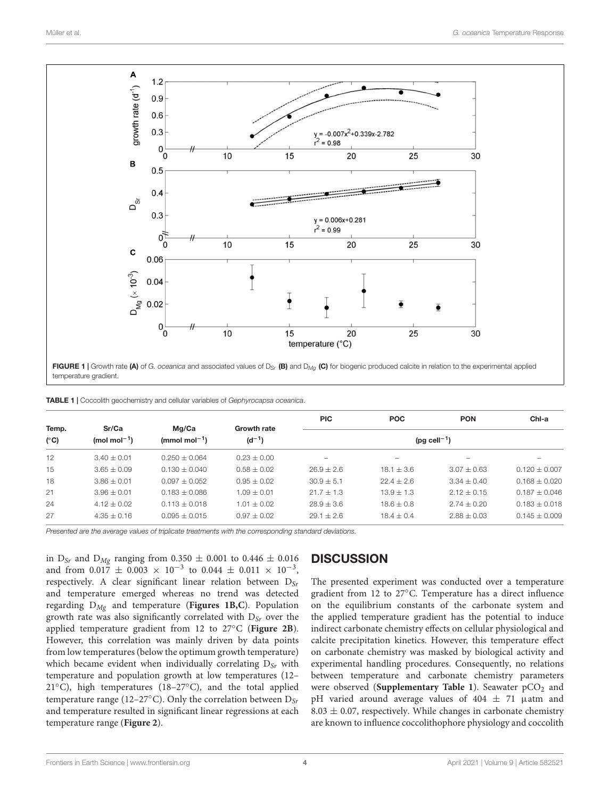

<span id="page-3-1"></span><span id="page-3-0"></span>

| TABLE 1   Coccolith geochemistry and cellular variables of Gephyrocapsa oceanica. |  |  |
|-----------------------------------------------------------------------------------|--|--|
|-----------------------------------------------------------------------------------|--|--|

|                        |                                   |                                    |                                  | <b>PIC</b>               | <b>POC</b>     | <b>PON</b>      | Chl-a             |
|------------------------|-----------------------------------|------------------------------------|----------------------------------|--------------------------|----------------|-----------------|-------------------|
| Temp.<br>$(^{\circ}C)$ | Sr/Ca<br>(mol mol <sup>-1</sup> ) | Mg/Ca<br>(mmol mol <sup>-1</sup> ) | <b>Growth rate</b><br>$(d^{-1})$ | (pg cell <sup>-1</sup> ) |                |                 |                   |
| 12                     | $3.40 + 0.01$                     | $0.250 + 0.064$                    | $0.23 + 0.00$                    | $\overline{\phantom{a}}$ |                |                 |                   |
| 15                     | $3.65 + 0.09$                     | $0.130 + 0.040$                    | $0.58 + 0.02$                    | $26.9 + 2.6$             | $18.1 + 3.6$   | $3.07 + 0.63$   | $0.120 + 0.007$   |
| 18                     | $3.86 \pm 0.01$                   | $0.097 + 0.052$                    | $0.95 \pm 0.02$                  | $30.9 \pm 5.1$           | $22.4 \pm 2.6$ | $3.34 \pm 0.40$ | $0.168 \pm 0.020$ |
| 21                     | $3.96 + 0.01$                     | $0.183 + 0.086$                    | $1.09 \pm 0.01$                  | $21.7 + 1.3$             | $13.9 \pm 1.3$ | $2.12 \pm 0.15$ | $0.187 \pm 0.046$ |
| 24                     | $4.12 + 0.02$                     | $0.113 + 0.018$                    | $1.01 \pm 0.02$                  | $28.9 \pm 3.6$           | $18.6 \pm 0.8$ | $2.74 \pm 0.20$ | $0.183 + 0.018$   |
| 27                     | $4.35 + 0.16$                     | $0.095 + 0.015$                    | $0.97 + 0.02$                    | $29.1 \pm 2.6$           | $18.4 + 0.4$   | $2.88 \pm 0.03$ | $0.145 \pm 0.009$ |

Presented are the average values of triplicate treatments with the corresponding standard deviations.

in  $D_{Sr}$  and  $D_{Mg}$  ranging from 0.350  $\pm$  0.001 to 0.446  $\pm$  0.016 and from  $0.017 \pm 0.003 \times 10^{-3}$  to  $0.044 \pm 0.011 \times 10^{-3}$ , respectively. A clear significant linear relation between  $D_{Sr}$ and temperature emerged whereas no trend was detected regarding DMg and temperature (**[Figures 1B,C](#page-3-0)**). Population growth rate was also significantly correlated with  $D_{Sr}$  over the applied temperature gradient from 12 to 27◦C (**[Figure 2B](#page-4-0)**). However, this correlation was mainly driven by data points from low temperatures (below the optimum growth temperature) which became evident when individually correlating  $D_{Sr}$  with temperature and population growth at low temperatures (12– 21◦C), high temperatures (18–27◦C), and the total applied temperature range (12–27°C). Only the correlation between  $D_{Sr}$ and temperature resulted in significant linear regressions at each temperature range (**[Figure 2](#page-4-0)**).

## **DISCUSSION**

The presented experiment was conducted over a temperature gradient from 12 to 27◦C. Temperature has a direct influence on the equilibrium constants of the carbonate system and the applied temperature gradient has the potential to induce indirect carbonate chemistry effects on cellular physiological and calcite precipitation kinetics. However, this temperature effect on carbonate chemistry was masked by biological activity and experimental handling procedures. Consequently, no relations between temperature and carbonate chemistry parameters were observed ([Supplementary Table 1](#page-6-2)). Seawater pCO<sub>2</sub> and pH varied around average values of  $404 \pm 71$  µatm and  $8.03 \pm 0.07$ , respectively. While changes in carbonate chemistry are known to influence coccolithophore physiology and coccolith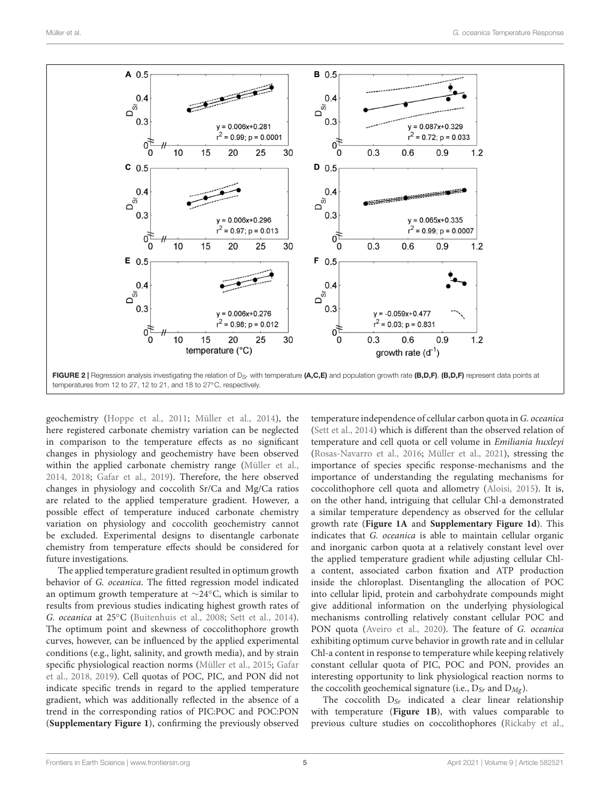

<span id="page-4-0"></span>geochemistry [\(Hoppe et al., 2011;](#page-7-20) [Müller et al., 2014\)](#page-7-6), the here registered carbonate chemistry variation can be neglected in comparison to the temperature effects as no significant changes in physiology and geochemistry have been observed within the applied carbonate chemistry range [\(Müller et al.,](#page-7-6) [2014,](#page-7-6) [2018;](#page-7-10) [Gafar et al., 2019\)](#page-7-21). Therefore, the here observed changes in physiology and coccolith Sr/Ca and Mg/Ca ratios are related to the applied temperature gradient. However, a possible effect of temperature induced carbonate chemistry variation on physiology and coccolith geochemistry cannot be excluded. Experimental designs to disentangle carbonate chemistry from temperature effects should be considered for future investigations.

The applied temperature gradient resulted in optimum growth behavior of G. oceanica. The fitted regression model indicated an optimum growth temperature at ∼24◦C, which is similar to results from previous studies indicating highest growth rates of G. oceanica at 25◦C [\(Buitenhuis et al., 2008;](#page-7-22) [Sett et al., 2014\)](#page-7-23). The optimum point and skewness of coccolithophore growth curves, however, can be influenced by the applied experimental conditions (e.g., light, salinity, and growth media), and by strain specific physiological reaction norms [\(Müller et al., 2015;](#page-7-24) [Gafar](#page-7-25) [et al., 2018,](#page-7-25) [2019\)](#page-7-21). Cell quotas of POC, PIC, and PON did not indicate specific trends in regard to the applied temperature gradient, which was additionally reflected in the absence of a trend in the corresponding ratios of PIC:POC and POC:PON (**[Supplementary Figure 1](#page-6-2)**), confirming the previously observed

temperature independence of cellular carbon quota in G. oceanica [\(Sett et al., 2014\)](#page-7-23) which is different than the observed relation of temperature and cell quota or cell volume in Emiliania huxleyi [\(Rosas-Navarro et al., 2016;](#page-7-26) [Müller et al., 2021\)](#page-7-27), stressing the importance of species specific response-mechanisms and the importance of understanding the regulating mechanisms for coccolithophore cell quota and allometry [\(Aloisi, 2015\)](#page-6-4). It is, on the other hand, intriguing that cellular Chl-a demonstrated a similar temperature dependency as observed for the cellular growth rate (**[Figure 1A](#page-3-0)** and **[Supplementary Figure 1d](#page-6-2)**). This indicates that G. oceanica is able to maintain cellular organic and inorganic carbon quota at a relatively constant level over the applied temperature gradient while adjusting cellular Chla content, associated carbon fixation and ATP production inside the chloroplast. Disentangling the allocation of POC into cellular lipid, protein and carbohydrate compounds might give additional information on the underlying physiological mechanisms controlling relatively constant cellular POC and PON quota [\(Aveiro et al., 2020\)](#page-6-5). The feature of G. oceanica exhibiting optimum curve behavior in growth rate and in cellular Chl-a content in response to temperature while keeping relatively constant cellular quota of PIC, POC and PON, provides an interesting opportunity to link physiological reaction norms to the coccolith geochemical signature (i.e.,  $D_{Sr}$  and  $D_{Mg}$ ).

The coccolith  $D_{Sr}$  indicated a clear linear relationship with temperature (**[Figure 1B](#page-3-0)**), with values comparable to previous culture studies on coccolithophores [\(Rickaby et al.,](#page-7-28)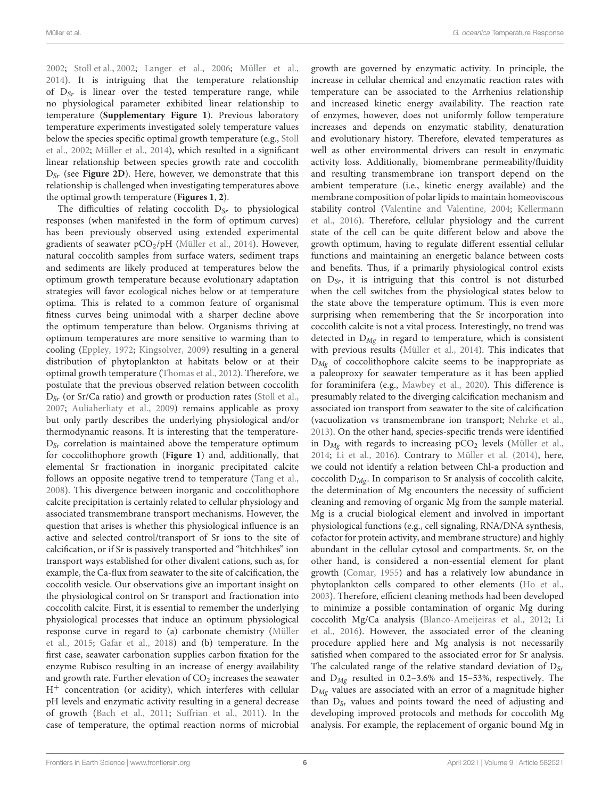[2002;](#page-7-28) [Stoll et al., 2002;](#page-7-29) [Langer et al., 2006;](#page-7-30) [Müller et al.,](#page-7-6) [2014\)](#page-7-6). It is intriguing that the temperature relationship of  $D_{Sr}$  is linear over the tested temperature range, while no physiological parameter exhibited linear relationship to temperature (**[Supplementary Figure 1](#page-6-2)**). Previous laboratory temperature experiments investigated solely temperature values below the species specific optimal growth temperature (e.g., [Stoll](#page-7-29) [et al., 2002;](#page-7-29) [Müller et al., 2014\)](#page-7-6), which resulted in a significant linear relationship between species growth rate and coccolith D<sub>Sr</sub> (see **[Figure 2D](#page-4-0)**). Here, however, we demonstrate that this relationship is challenged when investigating temperatures above the optimal growth temperature (**[Figures 1](#page-3-0)**, **[2](#page-4-0)**).

The difficulties of relating coccolith  $D_{Sr}$  to physiological responses (when manifested in the form of optimum curves) has been previously observed using extended experimental gradients of seawater  $pCO_2/pH$  [\(Müller et al., 2014\)](#page-7-6). However, natural coccolith samples from surface waters, sediment traps and sediments are likely produced at temperatures below the optimum growth temperature because evolutionary adaptation strategies will favor ecological niches below or at temperature optima. This is related to a common feature of organismal fitness curves being unimodal with a sharper decline above the optimum temperature than below. Organisms thriving at optimum temperatures are more sensitive to warming than to cooling [\(Eppley, 1972;](#page-7-31) [Kingsolver, 2009\)](#page-7-32) resulting in a general distribution of phytoplankton at habitats below or at their optimal growth temperature [\(Thomas et al., 2012\)](#page-8-2). Therefore, we postulate that the previous observed relation between coccolith  $D_{Sr}$  (or Sr/Ca ratio) and growth or production rates [\(Stoll et al.,](#page-7-4) [2007;](#page-7-4) [Auliaherliaty et al., 2009\)](#page-6-6) remains applicable as proxy but only partly describes the underlying physiological and/or thermodynamic reasons. It is interesting that the temperature- $D_{Sr}$  correlation is maintained above the temperature optimum for coccolithophore growth (**[Figure 1](#page-3-0)**) and, additionally, that elemental Sr fractionation in inorganic precipitated calcite follows an opposite negative trend to temperature [\(Tang et al.,](#page-8-3) [2008\)](#page-8-3). This divergence between inorganic and coccolithophore calcite precipitation is certainly related to cellular physiology and associated transmembrane transport mechanisms. However, the question that arises is whether this physiological influence is an active and selected control/transport of Sr ions to the site of calcification, or if Sr is passively transported and "hitchhikes" ion transport ways established for other divalent cations, such as, for example, the Ca-flux from seawater to the site of calcification, the coccolith vesicle. Our observations give an important insight on the physiological control on Sr transport and fractionation into coccolith calcite. First, it is essential to remember the underlying physiological processes that induce an optimum physiological response curve in regard to (a) carbonate chemistry [\(Müller](#page-7-24) [et al., 2015;](#page-7-24) [Gafar et al., 2018\)](#page-7-25) and (b) temperature. In the first case, seawater carbonation supplies carbon fixation for the enzyme Rubisco resulting in an increase of energy availability and growth rate. Further elevation of  $CO<sub>2</sub>$  increases the seawater  $H^+$  concentration (or acidity), which interferes with cellular pH levels and enzymatic activity resulting in a general decrease of growth [\(Bach et al., 2011;](#page-6-1) [Suffrian et al., 2011\)](#page-8-4). In the case of temperature, the optimal reaction norms of microbial

growth are governed by enzymatic activity. In principle, the increase in cellular chemical and enzymatic reaction rates with temperature can be associated to the Arrhenius relationship and increased kinetic energy availability. The reaction rate of enzymes, however, does not uniformly follow temperature increases and depends on enzymatic stability, denaturation and evolutionary history. Therefore, elevated temperatures as well as other environmental drivers can result in enzymatic activity loss. Additionally, biomembrane permeability/fluidity and resulting transmembrane ion transport depend on the ambient temperature (i.e., kinetic energy available) and the membrane composition of polar lipids to maintain homeoviscous stability control [\(Valentine and Valentine, 2004;](#page-8-5) [Kellermann](#page-7-33) [et al., 2016\)](#page-7-33). Therefore, cellular physiology and the current state of the cell can be quite different below and above the growth optimum, having to regulate different essential cellular functions and maintaining an energetic balance between costs and benefits. Thus, if a primarily physiological control exists on  $D_{Sr}$ , it is intriguing that this control is not disturbed when the cell switches from the physiological states below to the state above the temperature optimum. This is even more surprising when remembering that the Sr incorporation into coccolith calcite is not a vital process. Interestingly, no trend was detected in  $D_{Mg}$  in regard to temperature, which is consistent with previous results [\(Müller et al., 2014\)](#page-7-6). This indicates that  $D_{Mg}$  of coccolithophore calcite seems to be inappropriate as a paleoproxy for seawater temperature as it has been applied for foraminifera (e.g., [Mawbey et al., 2020\)](#page-7-34). This difference is presumably related to the diverging calcification mechanism and associated ion transport from seawater to the site of calcification (vacuolization vs transmembrane ion transport; [Nehrke et al.,](#page-7-35) [2013\)](#page-7-35). On the other hand, species-specific trends were identified in  $D_{Mg}$  with regards to increasing  $pCO<sub>2</sub>$  levels [\(Müller et al.,](#page-7-6) [2014;](#page-7-6) [Li et al., 2016\)](#page-7-7). Contrary to [Müller et al. \(2014\)](#page-7-6), here, we could not identify a relation between Chl-a production and coccolith  $D_{Mg}$ . In comparison to Sr analysis of coccolith calcite, the determination of Mg encounters the necessity of sufficient cleaning and removing of organic Mg from the sample material. Mg is a crucial biological element and involved in important physiological functions (e.g., cell signaling, RNA/DNA synthesis, cofactor for protein activity, and membrane structure) and highly abundant in the cellular cytosol and compartments. Sr, on the other hand, is considered a non-essential element for plant growth [\(Comar, 1955\)](#page-7-36) and has a relatively low abundance in phytoplankton cells compared to other elements [\(Ho et al.,](#page-7-37) [2003\)](#page-7-37). Therefore, efficient cleaning methods had been developed to minimize a possible contamination of organic Mg during coccolith Mg/Ca analysis [\(Blanco-Ameijeiras et al., 2012;](#page-6-3) [Li](#page-7-7) [et al., 2016\)](#page-7-7). However, the associated error of the cleaning procedure applied here and Mg analysis is not necessarily satisfied when compared to the associated error for Sr analysis. The calculated range of the relative standard deviation of  $D_{Sr}$ and  $D_{Mg}$  resulted in 0.2–3.6% and 15–53%, respectively. The  $D_{Mg}$  values are associated with an error of a magnitude higher than  $D_{Sr}$  values and points toward the need of adjusting and developing improved protocols and methods for coccolith Mg analysis. For example, the replacement of organic bound Mg in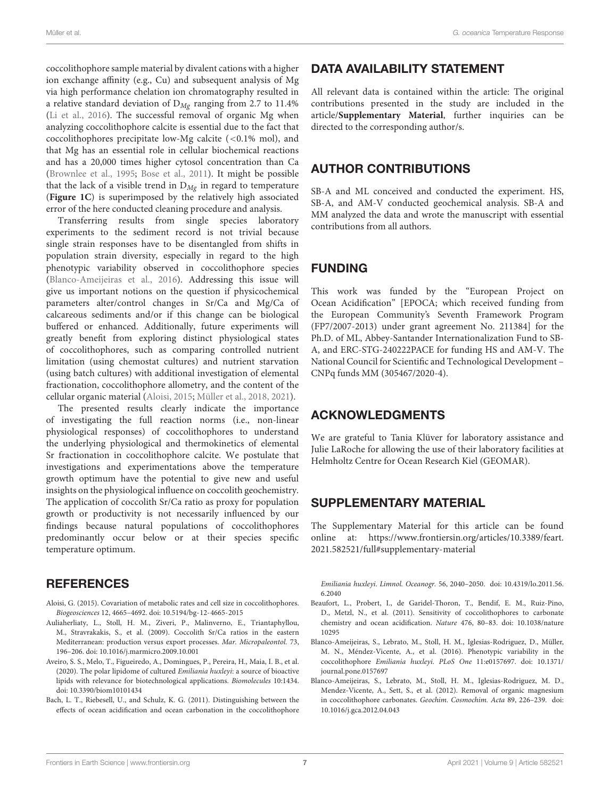coccolithophore sample material by divalent cations with a higher ion exchange affinity (e.g., Cu) and subsequent analysis of Mg via high performance chelation ion chromatography resulted in a relative standard deviation of  $D_{Mg}$  ranging from 2.7 to 11.4% [\(Li et al., 2016\)](#page-7-7). The successful removal of organic Mg when analyzing coccolithophore calcite is essential due to the fact that coccolithophores precipitate low-Mg calcite (<0.1% mol), and that Mg has an essential role in cellular biochemical reactions and has a 20,000 times higher cytosol concentration than Ca [\(Brownlee et al., 1995;](#page-7-38) [Bose et al., 2011\)](#page-7-39). It might be possible that the lack of a visible trend in  $D_{Mg}$  in regard to temperature (**[Figure 1C](#page-3-0)**) is superimposed by the relatively high associated error of the here conducted cleaning procedure and analysis.

Transferring results from single species laboratory experiments to the sediment record is not trivial because single strain responses have to be disentangled from shifts in population strain diversity, especially in regard to the high phenotypic variability observed in coccolithophore species [\(Blanco-Ameijeiras et al., 2016\)](#page-6-7). Addressing this issue will give us important notions on the question if physicochemical parameters alter/control changes in Sr/Ca and Mg/Ca of calcareous sediments and/or if this change can be biological buffered or enhanced. Additionally, future experiments will greatly benefit from exploring distinct physiological states of coccolithophores, such as comparing controlled nutrient limitation (using chemostat cultures) and nutrient starvation (using batch cultures) with additional investigation of elemental fractionation, coccolithophore allometry, and the content of the cellular organic material [\(Aloisi, 2015;](#page-6-4) [Müller et al., 2018,](#page-7-10) [2021\)](#page-7-27).

The presented results clearly indicate the importance of investigating the full reaction norms (i.e., non-linear physiological responses) of coccolithophores to understand the underlying physiological and thermokinetics of elemental Sr fractionation in coccolithophore calcite. We postulate that investigations and experimentations above the temperature growth optimum have the potential to give new and useful insights on the physiological influence on coccolith geochemistry. The application of coccolith Sr/Ca ratio as proxy for population growth or productivity is not necessarily influenced by our findings because natural populations of coccolithophores predominantly occur below or at their species specific temperature optimum.

## **REFERENCES**

- <span id="page-6-4"></span>Aloisi, G. (2015). Covariation of metabolic rates and cell size in coccolithophores. Biogeosciences 12, 4665–4692. [doi: 10.5194/bg-12-4665-2015](https://doi.org/10.5194/bg-12-4665-2015)
- <span id="page-6-6"></span>Auliaherliaty, L., Stoll, H. M., Ziveri, P., Malinverno, E., Triantaphyllou, M., Stravrakakis, S., et al. (2009). Coccolith Sr/Ca ratios in the eastern Mediterranean: production versus export processes. Mar. Micropaleontol. 73, 196–206. [doi: 10.1016/j.marmicro.2009.10.001](https://doi.org/10.1016/j.marmicro.2009.10.001)
- <span id="page-6-5"></span>Aveiro, S. S., Melo, T., Figueiredo, A., Domingues, P., Pereira, H., Maia, I. B., et al. (2020). The polar lipidome of cultured Emiliania huxleyi: a source of bioactive lipids with relevance for biotechnological applications. Biomolecules 10:1434. [doi: 10.3390/biom10101434](https://doi.org/10.3390/biom10101434)
- <span id="page-6-1"></span>Bach, L. T., Riebesell, U., and Schulz, K. G. (2011). Distinguishing between the effects of ocean acidification and ocean carbonation in the coccolithophore

## DATA AVAILABILITY STATEMENT

All relevant data is contained within the article: The original contributions presented in the study are included in the article/**[Supplementary Material](#page-6-2)**, further inquiries can be directed to the corresponding author/s.

## AUTHOR CONTRIBUTIONS

SB-A and ML conceived and conducted the experiment. HS, SB-A, and AM-V conducted geochemical analysis. SB-A and MM analyzed the data and wrote the manuscript with essential contributions from all authors.

# FUNDING

This work was funded by the "European Project on Ocean Acidification" [EPOCA; which received funding from the European Community's Seventh Framework Program (FP7/2007-2013) under grant agreement No. 211384] for the Ph.D. of ML, Abbey-Santander Internationalization Fund to SB-A, and ERC-STG-240222PACE for funding HS and AM-V. The National Council for Scientific and Technological Development – CNPq funds MM (305467/2020-4).

# ACKNOWLEDGMENTS

We are grateful to Tania Klüver for laboratory assistance and Julie LaRoche for allowing the use of their laboratory facilities at Helmholtz Centre for Ocean Research Kiel (GEOMAR).

## <span id="page-6-2"></span>SUPPLEMENTARY MATERIAL

The Supplementary Material for this article can be found online at: [https://www.frontiersin.org/articles/10.3389/feart.](https://www.frontiersin.org/articles/10.3389/feart.2021.582521/full#supplementary-material) [2021.582521/full#supplementary-material](https://www.frontiersin.org/articles/10.3389/feart.2021.582521/full#supplementary-material)

Emiliania huxleyi. Limnol. Oceanogr. 56, 2040–2050. [doi: 10.4319/lo.2011.56.](https://doi.org/10.4319/lo.2011.56.6.2040) [6.2040](https://doi.org/10.4319/lo.2011.56.6.2040)

- <span id="page-6-0"></span>Beaufort, L., Probert, I., de Garidel-Thoron, T., Bendif, E. M., Ruiz-Pino, D., Metzl, N., et al. (2011). Sensitivity of coccolithophores to carbonate chemistry and ocean acidification. Nature 476, 80–83. [doi: 10.1038/nature](https://doi.org/10.1038/nature10295) [10295](https://doi.org/10.1038/nature10295)
- <span id="page-6-7"></span>Blanco-Ameijeiras, S., Lebrato, M., Stoll, H. M., Iglesias-Rodriguez, D., Müller, M. N., Méndez-Vicente, A., et al. (2016). Phenotypic variability in the coccolithophore Emiliania huxleyi. PLoS One 11:e0157697. [doi: 10.1371/](https://doi.org/10.1371/journal.pone.0157697) [journal.pone.0157697](https://doi.org/10.1371/journal.pone.0157697)
- <span id="page-6-3"></span>Blanco-Ameijeiras, S., Lebrato, M., Stoll, H. M., Iglesias-Rodriguez, M. D., Mendez-Vicente, A., Sett, S., et al. (2012). Removal of organic magnesium in coccolithophore carbonates. Geochim. Cosmochim. Acta 89, 226–239. [doi:](https://doi.org/10.1016/j.gca.2012.04.043) [10.1016/j.gca.2012.04.043](https://doi.org/10.1016/j.gca.2012.04.043)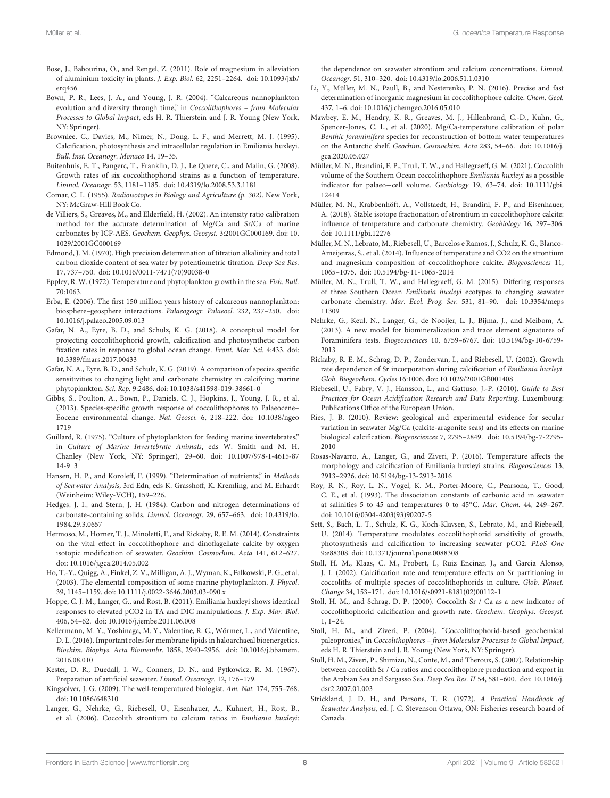- <span id="page-7-39"></span>Bose, J., Babourina, O., and Rengel, Z. (2011). Role of magnesium in alleviation of aluminium toxicity in plants. J. Exp. Biol. 62, 2251–2264. [doi: 10.1093/jxb/](https://doi.org/10.1093/jxb/erq456)  $era456$
- <span id="page-7-0"></span>Bown, P. R., Lees, J. A., and Young, J. R. (2004). "Calcareous nannoplankton evolution and diversity through time," in Coccolithophores - from Molecular Processes to Global Impact, eds H. R. Thierstein and J. R. Young (New York, NY: Springer).
- <span id="page-7-38"></span>Brownlee, C., Davies, M., Nimer, N., Dong, L. F., and Merrett, M. J. (1995). Calcification, photosynthesis and intracellular regulation in Emiliania huxleyi. Bull. Inst. Oceanogr. Monaco 14, 19–35.
- <span id="page-7-22"></span>Buitenhuis, E. T., Pangerc, T., Franklin, D. J., Le Quere, C., and Malin, G. (2008). Growth rates of six coccolithophorid strains as a function of temperature. Limnol. Oceanogr. 53, 1181–1185. [doi: 10.4319/lo.2008.53.3.1181](https://doi.org/10.4319/lo.2008.53.3.1181)
- <span id="page-7-36"></span>Comar, C. L. (1955). Radioisotopes in Biology and Agriculture (p. 302). New York, NY: McGraw-Hill Book Co.
- <span id="page-7-19"></span>de Villiers, S., Greaves, M., and Elderfield, H. (2002). An intensity ratio calibration method for the accurate determination of Mg/Ca and Sr/Ca of marine carbonates by ICP-AES. Geochem. Geophys. Geosyst. 3:2001GC000169. [doi: 10.](https://doi.org/10.1029/2001GC000169) [1029/2001GC000169](https://doi.org/10.1029/2001GC000169)
- <span id="page-7-15"></span>Edmond, J. M. (1970). High precision determination of titration alkalinity and total carbon dioxide content of sea water by potentiometric titration. Deep Sea Res. 17, 737–750. [doi: 10.1016/0011-7471\(70\)90038-0](https://doi.org/10.1016/0011-7471(70)90038-0)
- <span id="page-7-31"></span>Eppley, R. W. (1972). Temperature and phytoplankton growth in the sea. Fish. Bull. 70:1063.
- <span id="page-7-2"></span>Erba, E. (2006). The first 150 million years history of calcareous nannoplankton: biosphere–geosphere interactions. Palaeogeogr. Palaeocl. 232, 237–250. [doi:](https://doi.org/10.1016/j.palaeo.2005.09.013) [10.1016/j.palaeo.2005.09.013](https://doi.org/10.1016/j.palaeo.2005.09.013)
- <span id="page-7-25"></span>Gafar, N. A., Eyre, B. D., and Schulz, K. G. (2018). A conceptual model for projecting coccolithophorid growth, calcification and photosynthetic carbon fixation rates in response to global ocean change. Front. Mar. Sci. 4:433. [doi:](https://doi.org/10.3389/fmars.2017.00433) [10.3389/fmars.2017.00433](https://doi.org/10.3389/fmars.2017.00433)
- <span id="page-7-21"></span>Gafar, N. A., Eyre, B. D., and Schulz, K. G. (2019). A comparison of species specific sensitivities to changing light and carbonate chemistry in calcifying marine phytoplankton. Sci. Rep. 9:2486. [doi: 10.1038/s41598-019-38661-0](https://doi.org/10.1038/s41598-019-38661-0)
- <span id="page-7-8"></span>Gibbs, S., Poulton, A., Bown, P., Daniels, C. J., Hopkins, J., Young, J. R., et al. (2013). Species-specific growth response of coccolithophores to Palaeocene– Eocene environmental change. Nat. Geosci. 6, 218–222. [doi: 10.1038/ngeo](https://doi.org/10.1038/ngeo1719) [1719](https://doi.org/10.1038/ngeo1719)
- <span id="page-7-13"></span>Guillard, R. (1975). "Culture of phytoplankton for feeding marine invertebrates," in Culture of Marine Invertebrate Animals, eds W. Smith and M. H. Chanley (New York, NY: Springer), 29–60. [doi: 10.1007/978-1-4615-87](https://doi.org/10.1007/978-1-4615-8714-9_3) [14-9\\_3](https://doi.org/10.1007/978-1-4615-8714-9_3)
- <span id="page-7-12"></span>Hansen, H. P., and Koroleff, F. (1999). "Determination of nutrients," in Methods of Seawater Analysis, 3rd Edn, eds K. Grasshoff, K. Kremling, and M. Erhardt (Weinheim: Wiley-VCH), 159–226.
- <span id="page-7-18"></span>Hedges, J. I., and Stern, J. H. (1984). Carbon and nitrogen determinations of carbonate-containing solids. Limnol. Oceanogr. 29, 657–663. [doi: 10.4319/lo.](https://doi.org/10.4319/lo.1984.29.3.0657) [1984.29.3.0657](https://doi.org/10.4319/lo.1984.29.3.0657)
- <span id="page-7-9"></span>Hermoso, M., Horner, T. J., Minoletti, F., and Rickaby, R. E. M. (2014). Constraints on the vital effect in coccolithophore and dinoflagellate calcite by oxygen isotopic modification of seawater. Geochim. Cosmochim. Acta 141, 612–627. [doi: 10.1016/j.gca.2014.05.002](https://doi.org/10.1016/j.gca.2014.05.002)
- <span id="page-7-37"></span>Ho, T.-Y., Quigg, A., Finkel, Z. V., Milligan, A. J., Wyman, K., Falkowski, P. G., et al. (2003). The elemental composition of some marine phytoplankton. J. Phycol. 39, 1145–1159. [doi: 10.1111/j.0022-3646.2003.03-090.x](https://doi.org/10.1111/j.0022-3646.2003.03-090.x)
- <span id="page-7-20"></span>Hoppe, C. J. M., Langer, G., and Rost, B. (2011). Emiliania huxleyi shows identical responses to elevated pCO2 in TA and DIC manipulations. J. Exp. Mar. Biol. 406, 54–62. [doi: 10.1016/j.jembe.2011.06.008](https://doi.org/10.1016/j.jembe.2011.06.008)
- <span id="page-7-33"></span>Kellermann, M. Y., Yoshinaga, M. Y., Valentine, R. C., Wörmer, L., and Valentine, D. L. (2016). Important roles for membrane lipids in haloarchaeal bioenergetics. Biochim. Biophys. Acta Biomembr. 1858, 2940–2956. [doi: 10.1016/j.bbamem.](https://doi.org/10.1016/j.bbamem.2016.08.010) [2016.08.010](https://doi.org/10.1016/j.bbamem.2016.08.010)
- <span id="page-7-11"></span>Kester, D. R., Duedall, I. W., Conners, D. N., and Pytkowicz, R. M. (1967). Preparation of artificial seawater. Limnol. Oceanogr. 12, 176–179.
- <span id="page-7-32"></span>Kingsolver, J. G. (2009). The well-temperatured biologist. Am. Nat. 174, 755–768. [doi: 10.1086/648310](https://doi.org/10.1086/648310)
- <span id="page-7-30"></span>Langer, G., Nehrke, G., Riebesell, U., Eisenhauer, A., Kuhnert, H., Rost, B., et al. (2006). Coccolith strontium to calcium ratios in Emiliania huxleyi:

the dependence on seawater strontium and calcium concentrations. Limnol. Oceanogr. 51, 310–320. [doi: 10.4319/lo.2006.51.1.0310](https://doi.org/10.4319/lo.2006.51.1.0310)

- <span id="page-7-7"></span>Li, Y., Müller, M. N., Paull, B., and Nesterenko, P. N. (2016). Precise and fast determination of inorganic magnesium in coccolithophore calcite. Chem. Geol. 437, 1–6. [doi: 10.1016/j.chemgeo.2016.05.010](https://doi.org/10.1016/j.chemgeo.2016.05.010)
- <span id="page-7-34"></span>Mawbey, E. M., Hendry, K. R., Greaves, M. J., Hillenbrand, C.-D., Kuhn, G., Spencer-Jones, C. L., et al. (2020). Mg/Ca-temperature calibration of polar Benthic foraminifera species for reconstruction of bottom water temperatures on the Antarctic shelf. Geochim. Cosmochim. Acta 283, 54–66. [doi: 10.1016/j.](https://doi.org/10.1016/j.gca.2020.05.027) [gca.2020.05.027](https://doi.org/10.1016/j.gca.2020.05.027)
- <span id="page-7-27"></span>Müller, M. N., Brandini, F. P., Trull, T. W., and Hallegraeff, G. M. (2021). Coccolith volume of the Southern Ocean coccolithophore Emiliania huxleyi as a possible indicator for palaeo−cell volume. Geobiology 19, 63–74. [doi: 10.1111/gbi.](https://doi.org/10.1111/gbi.12414) [12414](https://doi.org/10.1111/gbi.12414)
- <span id="page-7-10"></span>Müller, M. N., Krabbenhöft, A., Vollstaedt, H., Brandini, F. P., and Eisenhauer, A. (2018). Stable isotope fractionation of strontium in coccolithophore calcite: influence of temperature and carbonate chemistry. Geobiology 16, 297–306. [doi: 10.1111/gbi.12276](https://doi.org/10.1111/gbi.12276)
- <span id="page-7-6"></span>Müller, M. N., Lebrato, M., Riebesell, U., Barcelos e Ramos, J., Schulz, K. G., Blanco-Ameijeiras, S., et al. (2014). Influence of temperature and CO2 on the strontium and magnesium composition of coccolithophore calcite. Biogeosciences 11, 1065–1075. [doi: 10.5194/bg-11-1065-2014](https://doi.org/10.5194/bg-11-1065-2014)
- <span id="page-7-24"></span>Müller, M. N., Trull, T. W., and Hallegraeff, G. M. (2015). Differing responses of three Southern Ocean Emiliania huxleyi ecotypes to changing seawater carbonate chemistry. Mar. Ecol. Prog. Ser. 531, 81–90. [doi: 10.3354/meps](https://doi.org/10.3354/meps11309) [11309](https://doi.org/10.3354/meps11309)
- <span id="page-7-35"></span>Nehrke, G., Keul, N., Langer, G., de Nooijer, L. J., Bijma, J., and Meibom, A. (2013). A new model for biomineralization and trace element signatures of Foraminifera tests. Biogeosciences 10, 6759–6767. [doi: 10.5194/bg-10-6759-](https://doi.org/10.5194/bg-10-6759-2013) [2013](https://doi.org/10.5194/bg-10-6759-2013)
- <span id="page-7-28"></span>Rickaby, R. E. M., Schrag, D. P., Zondervan, I., and Riebesell, U. (2002). Growth rate dependence of Sr incorporation during calcification of Emiliania huxleyi. Glob. Biogeochem. Cycles 16:1006. [doi: 10.1029/2001GB001408](https://doi.org/10.1029/2001GB001408)
- <span id="page-7-14"></span>Riebesell, U., Fabry, V. J., Hansson, L., and Gattuso, J.-P. (2010). Guide to Best Practices for Ocean Acidification Research and Data Reporting. Luxembourg: Publications Office of the European Union.
- <span id="page-7-5"></span>Ries, J. B. (2010). Review: geological and experimental evidence for secular variation in seawater Mg/Ca (calcite-aragonite seas) and its effects on marine biological calcification. Biogeosciences 7, 2795–2849. [doi: 10.5194/bg-7-2795-](https://doi.org/10.5194/bg-7-2795-2010) [2010](https://doi.org/10.5194/bg-7-2795-2010)
- <span id="page-7-26"></span>Rosas-Navarro, A., Langer, G., and Ziveri, P. (2016). Temperature affects the morphology and calcification of Emiliania huxleyi strains. Biogeosciences 13, 2913–2926. [doi: 10.5194/bg-13-2913-2016](https://doi.org/10.5194/bg-13-2913-2016)
- <span id="page-7-16"></span>Roy, R. N., Roy, L. N., Vogel, K. M., Porter-Moore, C., Pearsona, T., Good, C. E., et al. (1993). The dissociation constants of carbonic acid in seawater at salinities 5 to 45 and temperatures 0 to 45◦C. Mar. Chem. 44, 249–267. [doi: 10.1016/0304-4203\(93\)90207-5](https://doi.org/10.1016/0304-4203(93)90207-5)
- <span id="page-7-23"></span>Sett, S., Bach, L. T., Schulz, K. G., Koch-Klavsen, S., Lebrato, M., and Riebesell, U. (2014). Temperature modulates coccolithophorid sensitivity of growth, photosynthesis and calcification to increasing seawater pCO2. PLoS One 9:e88308. [doi: 10.1371/journal.pone.0088308](https://doi.org/10.1371/journal.pone.0088308)
- <span id="page-7-29"></span>Stoll, H. M., Klaas, C. M., Probert, I., Ruiz Encinar, J., and Garcia Alonso, J. I. (2002). Calcification rate and temperature effects on Sr partitioning in coccoliths of multiple species of coccolithophorids in culture. Glob. Planet. Change 34, 153–171. [doi: 10.1016/s0921-8181\(02\)00112-1](https://doi.org/10.1016/s0921-8181(02)00112-1)
- <span id="page-7-3"></span>Stoll, H. M., and Schrag, D. P. (2000). Coccolith Sr / Ca as a new indicator of coccolithophorid calcification and growth rate. Geochem. Geophys. Geosyst. 1, 1–24.
- <span id="page-7-1"></span>Stoll, H. M., and Ziveri, P. (2004). "Coccolithophorid-based geochemical paleoproxies," in Coccolithophores – from Molecular Processes to Global Impact, eds H. R. Thierstein and J. R. Young (New York, NY: Springer).
- <span id="page-7-4"></span>Stoll, H. M., Ziveri, P., Shimizu, N., Conte, M., and Theroux, S. (2007). Relationship between coccolith Sr / Ca ratios and coccolithophore production and export in the Arabian Sea and Sargasso Sea. Deep Sea Res. II 54, 581–600. [doi: 10.1016/j.](https://doi.org/10.1016/j.dsr2.2007.01.003) [dsr2.2007.01.003](https://doi.org/10.1016/j.dsr2.2007.01.003)
- <span id="page-7-17"></span>Strickland, J. D. H., and Parsons, T. R. (1972). A Practical Handbook of Seawater Analysis, ed. J. C. Stevenson Ottawa, ON: Fisheries research board of Canada.